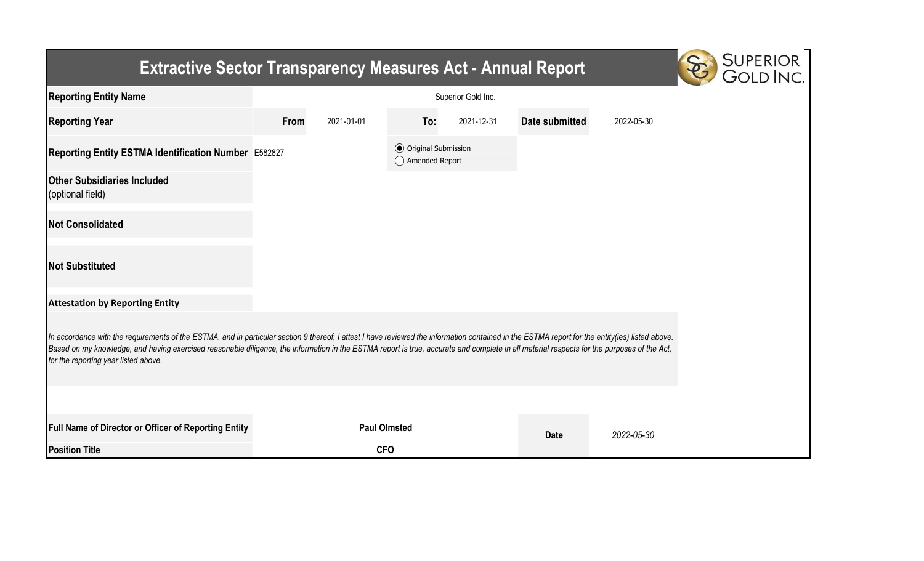## Extractive Sector Transparency Measures Act - Annual Report



| <b>Reporting Entity Name</b>                                                                                                                                                                                                                                                                                                                                                                                                          |      |                     |                                                  | Superior Gold Inc. |                |            |
|---------------------------------------------------------------------------------------------------------------------------------------------------------------------------------------------------------------------------------------------------------------------------------------------------------------------------------------------------------------------------------------------------------------------------------------|------|---------------------|--------------------------------------------------|--------------------|----------------|------------|
| <b>Reporting Year</b>                                                                                                                                                                                                                                                                                                                                                                                                                 | From | 2021-01-01          | To:                                              | 2021-12-31         | Date submitted | 2022-05-30 |
| Reporting Entity ESTMA Identification Number E582827                                                                                                                                                                                                                                                                                                                                                                                  |      |                     | <b>⊙</b> Original Submission<br>◯ Amended Report |                    |                |            |
| <b>Other Subsidiaries Included</b><br>(optional field)                                                                                                                                                                                                                                                                                                                                                                                |      |                     |                                                  |                    |                |            |
| <b>Not Consolidated</b>                                                                                                                                                                                                                                                                                                                                                                                                               |      |                     |                                                  |                    |                |            |
| <b>Not Substituted</b>                                                                                                                                                                                                                                                                                                                                                                                                                |      |                     |                                                  |                    |                |            |
| <b>Attestation by Reporting Entity</b>                                                                                                                                                                                                                                                                                                                                                                                                |      |                     |                                                  |                    |                |            |
| In accordance with the requirements of the ESTMA, and in particular section 9 thereof, I attest I have reviewed the information contained in the ESTMA report for the entity(ies) listed above.<br>Based on my knowledge, and having exercised reasonable diligence, the information in the ESTMA report is true, accurate and complete in all material respects for the purposes of the Act,<br>for the reporting year listed above. |      |                     |                                                  |                    |                |            |
|                                                                                                                                                                                                                                                                                                                                                                                                                                       |      |                     |                                                  |                    |                |            |
| Full Name of Director or Officer of Reporting Entity                                                                                                                                                                                                                                                                                                                                                                                  |      | <b>Paul Olmsted</b> |                                                  |                    | <b>Date</b>    | 2022-05-30 |
| <b>Position Title</b>                                                                                                                                                                                                                                                                                                                                                                                                                 |      | <b>CFO</b>          |                                                  |                    |                |            |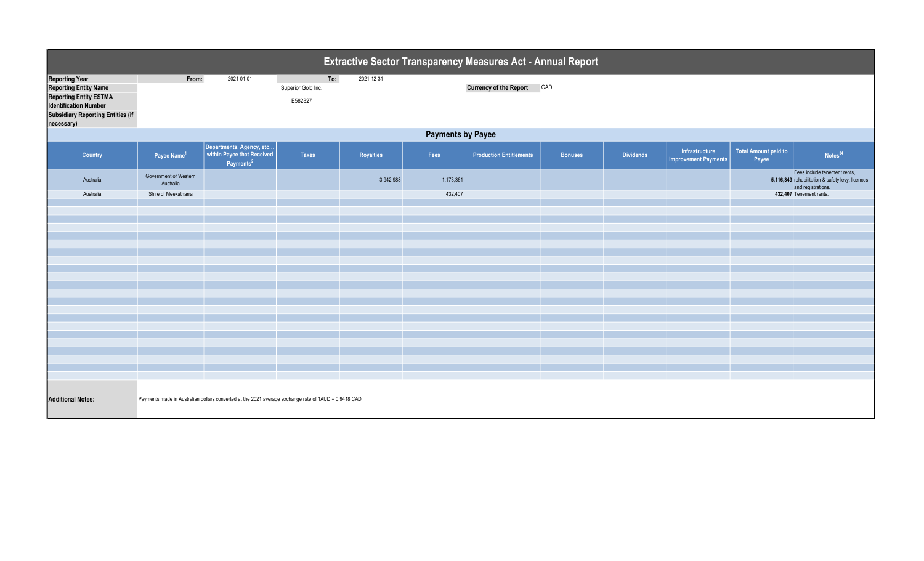| <b>Extractive Sector Transparency Measures Act - Annual Report</b>                                                                                                               |                                                                                                      |                                                                                 |                                      |                  |           |                                |                |                  |                                               |                                      |                                                                                                        |
|----------------------------------------------------------------------------------------------------------------------------------------------------------------------------------|------------------------------------------------------------------------------------------------------|---------------------------------------------------------------------------------|--------------------------------------|------------------|-----------|--------------------------------|----------------|------------------|-----------------------------------------------|--------------------------------------|--------------------------------------------------------------------------------------------------------|
| <b>Reporting Year</b><br><b>Reporting Entity Name</b><br><b>Reporting Entity ESTMA</b><br><b>Identification Number</b><br><b>Subsidiary Reporting Entities (if</b><br>necessary) | From:                                                                                                | 2021-01-01                                                                      | To:<br>Superior Gold Inc.<br>E582827 | 2021-12-31       |           | Currency of the Report CAD     |                |                  |                                               |                                      |                                                                                                        |
| <b>Payments by Payee</b>                                                                                                                                                         |                                                                                                      |                                                                                 |                                      |                  |           |                                |                |                  |                                               |                                      |                                                                                                        |
| <b>Country</b>                                                                                                                                                                   | Payee Name <sup>1</sup>                                                                              | Departments, Agency, etc<br>within Payee that Received<br>Payments <sup>2</sup> | <b>Taxes</b>                         | <b>Royalties</b> | Fees      | <b>Production Entitlements</b> | <b>Bonuses</b> | <b>Dividends</b> | Infrastructure<br><b>Improvement Payments</b> | <b>Total Amount paid to</b><br>Payee | Notes <sup>34</sup>                                                                                    |
| Australia                                                                                                                                                                        | Government of Western<br>Australia                                                                   |                                                                                 |                                      | 3,942,988        | 1,173,361 |                                |                |                  |                                               |                                      | Fees include tenement rents,<br>5,116,349 rehabilitation & safety levy, licences<br>and registrations. |
| Australia                                                                                                                                                                        | Shire of Meekatharra                                                                                 |                                                                                 |                                      |                  | 432,407   |                                |                |                  |                                               |                                      | 432,407 Tenement rents.                                                                                |
|                                                                                                                                                                                  |                                                                                                      |                                                                                 |                                      |                  |           |                                |                |                  |                                               |                                      |                                                                                                        |
|                                                                                                                                                                                  |                                                                                                      |                                                                                 |                                      |                  |           |                                |                |                  |                                               |                                      |                                                                                                        |
|                                                                                                                                                                                  |                                                                                                      |                                                                                 |                                      |                  |           |                                |                |                  |                                               |                                      |                                                                                                        |
|                                                                                                                                                                                  |                                                                                                      |                                                                                 |                                      |                  |           |                                |                |                  |                                               |                                      |                                                                                                        |
|                                                                                                                                                                                  |                                                                                                      |                                                                                 |                                      |                  |           |                                |                |                  |                                               |                                      |                                                                                                        |
|                                                                                                                                                                                  |                                                                                                      |                                                                                 |                                      |                  |           |                                |                |                  |                                               |                                      |                                                                                                        |
|                                                                                                                                                                                  |                                                                                                      |                                                                                 |                                      |                  |           |                                |                |                  |                                               |                                      |                                                                                                        |
|                                                                                                                                                                                  |                                                                                                      |                                                                                 |                                      |                  |           |                                |                |                  |                                               |                                      |                                                                                                        |
|                                                                                                                                                                                  |                                                                                                      |                                                                                 |                                      |                  |           |                                |                |                  |                                               |                                      |                                                                                                        |
|                                                                                                                                                                                  |                                                                                                      |                                                                                 |                                      |                  |           |                                |                |                  |                                               |                                      |                                                                                                        |
|                                                                                                                                                                                  |                                                                                                      |                                                                                 |                                      |                  |           |                                |                |                  |                                               |                                      |                                                                                                        |
|                                                                                                                                                                                  |                                                                                                      |                                                                                 |                                      |                  |           |                                |                |                  |                                               |                                      |                                                                                                        |
|                                                                                                                                                                                  |                                                                                                      |                                                                                 |                                      |                  |           |                                |                |                  |                                               |                                      |                                                                                                        |
|                                                                                                                                                                                  |                                                                                                      |                                                                                 |                                      |                  |           |                                |                |                  |                                               |                                      |                                                                                                        |
|                                                                                                                                                                                  |                                                                                                      |                                                                                 |                                      |                  |           |                                |                |                  |                                               |                                      |                                                                                                        |
|                                                                                                                                                                                  |                                                                                                      |                                                                                 |                                      |                  |           |                                |                |                  |                                               |                                      |                                                                                                        |
|                                                                                                                                                                                  |                                                                                                      |                                                                                 |                                      |                  |           |                                |                |                  |                                               |                                      |                                                                                                        |
| <b>Additional Notes:</b>                                                                                                                                                         | Payments made in Australian dollars converted at the 2021 average exchange rate of 1AUD = 0.9418 CAD |                                                                                 |                                      |                  |           |                                |                |                  |                                               |                                      |                                                                                                        |